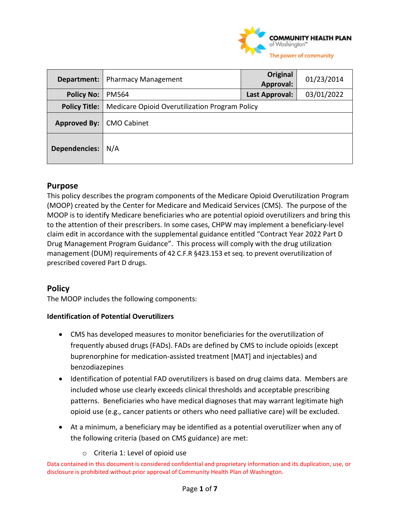

| Department:          | <b>Pharmacy Management</b>                     | Original<br><b>Approval:</b> | 01/23/2014 |
|----------------------|------------------------------------------------|------------------------------|------------|
| <b>Policy No:</b>    | PM564                                          | Last Approval:               | 03/01/2022 |
| <b>Policy Title:</b> | Medicare Opioid Overutilization Program Policy |                              |            |
| Approved By:         | <b>CMO Cabinet</b>                             |                              |            |
| <b>Dependencies:</b> | N/A                                            |                              |            |

## **Purpose**

This policy describes the program components of the Medicare Opioid Overutilization Program (MOOP) created by the Center for Medicare and Medicaid Services (CMS). The purpose of the MOOP is to identify Medicare beneficiaries who are potential opioid overutilizers and bring this to the attention of their prescribers. In some cases, CHPW may implement a beneficiary-level claim edit in accordance with the supplemental guidance entitled "Contract Year 2022 Part D Drug Management Program Guidance". This process will comply with the drug utilization management (DUM) requirements of 42 C.F.R §423.153 et seq. to prevent overutilization of prescribed covered Part D drugs.

# **Policy**

The MOOP includes the following components:

#### **Identification of Potential Overutilizers**

- CMS has developed measures to monitor beneficiaries for the overutilization of frequently abused drugs (FADs). FADs are defined by CMS to include opioids (except buprenorphine for medication-assisted treatment [MAT] and injectables) and benzodiazepines
- Identification of potential FAD overutilizers is based on drug claims data. Members are included whose use clearly exceeds clinical thresholds and acceptable prescribing patterns. Beneficiaries who have medical diagnoses that may warrant legitimate high opioid use (e.g., cancer patients or others who need palliative care) will be excluded.
- At a minimum, a beneficiary may be identified as a potential overutilizer when any of the following criteria (based on CMS guidance) are met:
	- o Criteria 1: Level of opioid use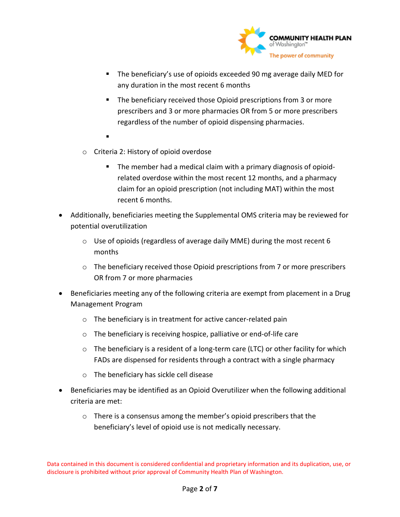

- The beneficiary's use of opioids exceeded 90 mg average daily MED for any duration in the most recent 6 months
- The beneficiary received those Opioid prescriptions from 3 or more prescribers and 3 or more pharmacies OR from 5 or more prescribers regardless of the number of opioid dispensing pharmacies.
- .
- o Criteria 2: History of opioid overdose
	- The member had a medical claim with a primary diagnosis of opioidrelated overdose within the most recent 12 months, and a pharmacy claim for an opioid prescription (not including MAT) within the most recent 6 months.
- Additionally, beneficiaries meeting the Supplemental OMS criteria may be reviewed for potential overutilization
	- $\circ$  Use of opioids (regardless of average daily MME) during the most recent 6 months
	- $\circ$  The beneficiary received those Opioid prescriptions from 7 or more prescribers OR from 7 or more pharmacies
- Beneficiaries meeting any of the following criteria are exempt from placement in a Drug Management Program
	- o The beneficiary is in treatment for active cancer-related pain
	- o The beneficiary is receiving hospice, palliative or end-of-life care
	- $\circ$  The beneficiary is a resident of a long-term care (LTC) or other facility for which FADs are dispensed for residents through a contract with a single pharmacy
	- o The beneficiary has sickle cell disease
- Beneficiaries may be identified as an Opioid Overutilizer when the following additional criteria are met:
	- o There is a consensus among the member's opioid prescribers that the beneficiary's level of opioid use is not medically necessary.

Data contained in this document is considered confidential and proprietary information and its duplication, use, or disclosure is prohibited without prior approval of Community Health Plan of Washington.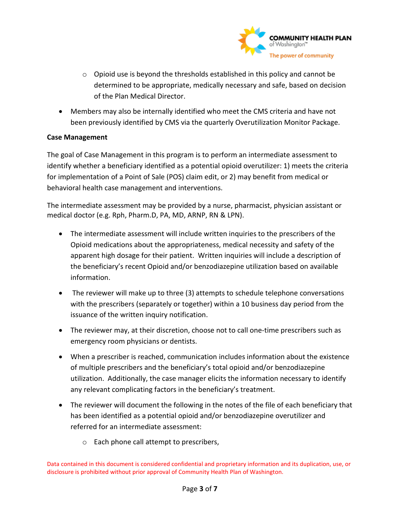

- $\circ$  Opioid use is beyond the thresholds established in this policy and cannot be determined to be appropriate, medically necessary and safe, based on decision of the Plan Medical Director.
- Members may also be internally identified who meet the CMS criteria and have not been previously identified by CMS via the quarterly Overutilization Monitor Package.

## **Case Management**

The goal of Case Management in this program is to perform an intermediate assessment to identify whether a beneficiary identified as a potential opioid overutilizer: 1) meets the criteria for implementation of a Point of Sale (POS) claim edit, or 2) may benefit from medical or behavioral health case management and interventions.

The intermediate assessment may be provided by a nurse, pharmacist, physician assistant or medical doctor (e.g. Rph, Pharm.D, PA, MD, ARNP, RN & LPN).

- The intermediate assessment will include written inquiries to the prescribers of the Opioid medications about the appropriateness, medical necessity and safety of the apparent high dosage for their patient. Written inquiries will include a description of the beneficiary's recent Opioid and/or benzodiazepine utilization based on available information.
- The reviewer will make up to three (3) attempts to schedule telephone conversations with the prescribers (separately or together) within a 10 business day period from the issuance of the written inquiry notification.
- The reviewer may, at their discretion, choose not to call one-time prescribers such as emergency room physicians or dentists.
- When a prescriber is reached, communication includes information about the existence of multiple prescribers and the beneficiary's total opioid and/or benzodiazepine utilization. Additionally, the case manager elicits the information necessary to identify any relevant complicating factors in the beneficiary's treatment.
- The reviewer will document the following in the notes of the file of each beneficiary that has been identified as a potential opioid and/or benzodiazepine overutilizer and referred for an intermediate assessment:
	- o Each phone call attempt to prescribers,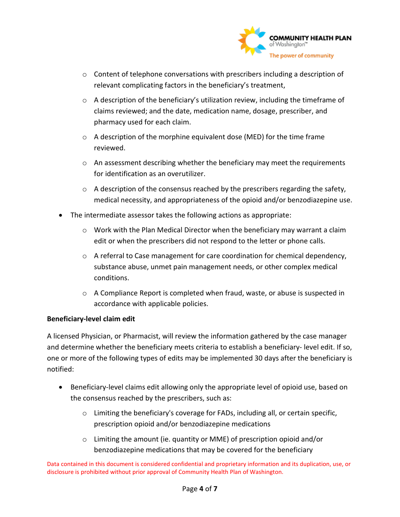

- $\circ$  Content of telephone conversations with prescribers including a description of relevant complicating factors in the beneficiary's treatment,
- o A description of the beneficiary's utilization review, including the timeframe of claims reviewed; and the date, medication name, dosage, prescriber, and pharmacy used for each claim.
- o A description of the morphine equivalent dose (MED) for the time frame reviewed.
- o An assessment describing whether the beneficiary may meet the requirements for identification as an overutilizer.
- $\circ$  A description of the consensus reached by the prescribers regarding the safety, medical necessity, and appropriateness of the opioid and/or benzodiazepine use.
- The intermediate assessor takes the following actions as appropriate:
	- $\circ$  Work with the Plan Medical Director when the beneficiary may warrant a claim edit or when the prescribers did not respond to the letter or phone calls.
	- $\circ$  A referral to Case management for care coordination for chemical dependency, substance abuse, unmet pain management needs, or other complex medical conditions.
	- $\circ$  A Compliance Report is completed when fraud, waste, or abuse is suspected in accordance with applicable policies.

## **Beneficiary-level claim edit**

A licensed Physician, or Pharmacist, will review the information gathered by the case manager and determine whether the beneficiary meets criteria to establish a beneficiary- level edit. If so, one or more of the following types of edits may be implemented 30 days after the beneficiary is notified:

- Beneficiary-level claims edit allowing only the appropriate level of opioid use, based on the consensus reached by the prescribers, such as:
	- $\circ$  Limiting the beneficiary's coverage for FADs, including all, or certain specific, prescription opioid and/or benzodiazepine medications
	- $\circ$  Limiting the amount (ie. quantity or MME) of prescription opioid and/or benzodiazepine medications that may be covered for the beneficiary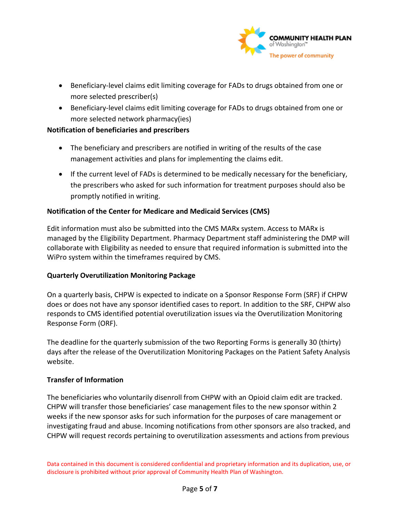

- Beneficiary-level claims edit limiting coverage for FADs to drugs obtained from one or more selected prescriber(s)
- Beneficiary-level claims edit limiting coverage for FADs to drugs obtained from one or more selected network pharmacy(ies)

## **Notification of beneficiaries and prescribers**

- The beneficiary and prescribers are notified in writing of the results of the case management activities and plans for implementing the claims edit.
- If the current level of FADs is determined to be medically necessary for the beneficiary, the prescribers who asked for such information for treatment purposes should also be promptly notified in writing.

## **Notification of the Center for Medicare and Medicaid Services (CMS)**

Edit information must also be submitted into the CMS MARx system. Access to MARx is managed by the Eligibility Department. Pharmacy Department staff administering the DMP will collaborate with Eligibility as needed to ensure that required information is submitted into the WiPro system within the timeframes required by CMS.

#### **Quarterly Overutilization Monitoring Package**

On a quarterly basis, CHPW is expected to indicate on a Sponsor Response Form (SRF) if CHPW does or does not have any sponsor identified cases to report. In addition to the SRF, CHPW also responds to CMS identified potential overutilization issues via the Overutilization Monitoring Response Form (ORF).

The deadline for the quarterly submission of the two Reporting Forms is generally 30 (thirty) days after the release of the Overutilization Monitoring Packages on the Patient Safety Analysis website.

#### **Transfer of Information**

The beneficiaries who voluntarily disenroll from CHPW with an Opioid claim edit are tracked. CHPW will transfer those beneficiaries' case management files to the new sponsor within 2 weeks if the new sponsor asks for such information for the purposes of care management or investigating fraud and abuse. Incoming notifications from other sponsors are also tracked, and CHPW will request records pertaining to overutilization assessments and actions from previous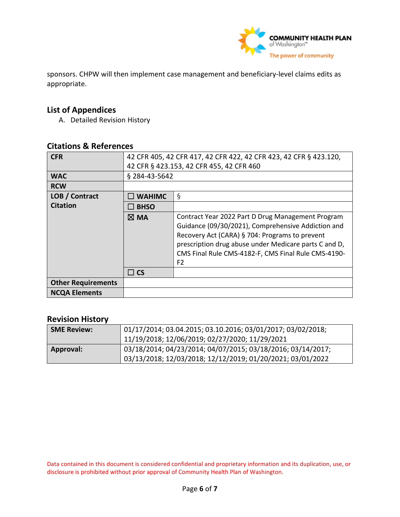

sponsors. CHPW will then implement case management and beneficiary-level claims edits as appropriate.

# **List of Appendices**

A. Detailed Revision History

# **Citations & References**

| <b>CFR</b>                | 42 CFR 405, 42 CFR 417, 42 CFR 422, 42 CFR 423, 42 CFR § 423.120, |                                                                                                                                                                                                                                                                                             |  |
|---------------------------|-------------------------------------------------------------------|---------------------------------------------------------------------------------------------------------------------------------------------------------------------------------------------------------------------------------------------------------------------------------------------|--|
|                           | 42 CFR § 423.153, 42 CFR 455, 42 CFR 460                          |                                                                                                                                                                                                                                                                                             |  |
| <b>WAC</b>                | § 284-43-5642                                                     |                                                                                                                                                                                                                                                                                             |  |
| <b>RCW</b>                |                                                                   |                                                                                                                                                                                                                                                                                             |  |
| LOB / Contract            | $\square$ WAHIMC                                                  | $\S$                                                                                                                                                                                                                                                                                        |  |
| <b>Citation</b>           | $\Box$ BHSO                                                       |                                                                                                                                                                                                                                                                                             |  |
|                           | $\boxtimes$ MA                                                    | Contract Year 2022 Part D Drug Management Program<br>Guidance (09/30/2021), Comprehensive Addiction and<br>Recovery Act (CARA) § 704: Programs to prevent<br>prescription drug abuse under Medicare parts C and D,<br>CMS Final Rule CMS-4182-F, CMS Final Rule CMS-4190-<br>F <sub>2</sub> |  |
|                           | $\Box$ CS                                                         |                                                                                                                                                                                                                                                                                             |  |
| <b>Other Requirements</b> |                                                                   |                                                                                                                                                                                                                                                                                             |  |
| <b>NCQA Elements</b>      |                                                                   |                                                                                                                                                                                                                                                                                             |  |

## **Revision History**

| <b>SME Review:</b> | 01/17/2014; 03.04.2015; 03.10.2016; 03/01/2017; 03/02/2018;<br>11/19/2018; 12/06/2019; 02/27/2020; 11/29/2021             |
|--------------------|---------------------------------------------------------------------------------------------------------------------------|
| Approval:          | 03/18/2014; 04/23/2014; 04/07/2015; 03/18/2016; 03/14/2017;<br>03/13/2018; 12/03/2018; 12/12/2019; 01/20/2021; 03/01/2022 |